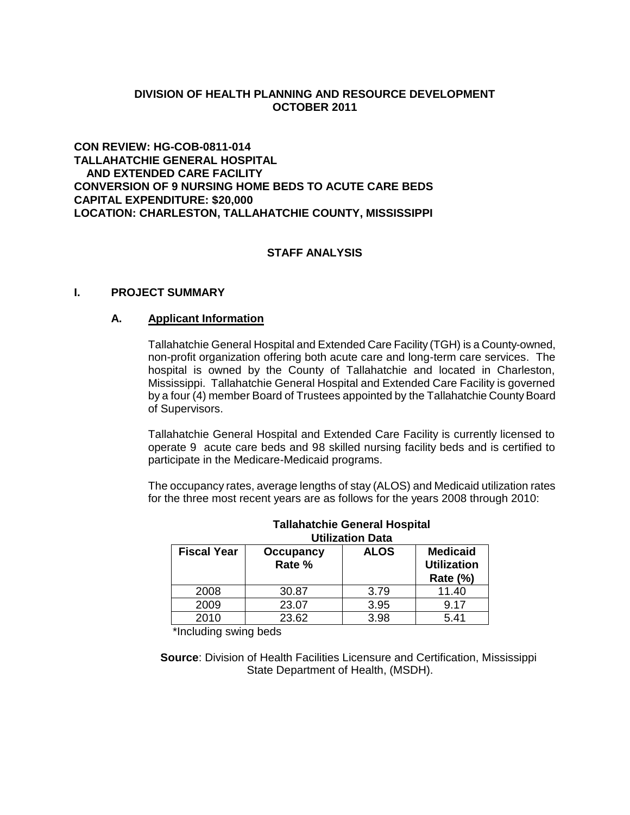# **DIVISION OF HEALTH PLANNING AND RESOURCE DEVELOPMENT OCTOBER 2011**

**CON REVIEW: HG-COB-0811-014 TALLAHATCHIE GENERAL HOSPITAL AND EXTENDED CARE FACILITY CONVERSION OF 9 NURSING HOME BEDS TO ACUTE CARE BEDS CAPITAL EXPENDITURE: \$20,000 LOCATION: CHARLESTON, TALLAHATCHIE COUNTY, MISSISSIPPI**

# **STAFF ANALYSIS**

### **I. PROJECT SUMMARY**

#### **A. Applicant Information**

Tallahatchie General Hospital and Extended Care Facility (TGH) is a County-owned, non-profit organization offering both acute care and long-term care services. The hospital is owned by the County of Tallahatchie and located in Charleston, Mississippi. Tallahatchie General Hospital and Extended Care Facility is governed by a four (4) member Board of Trustees appointed by the Tallahatchie County Board of Supervisors.

Tallahatchie General Hospital and Extended Care Facility is currently licensed to operate 9 acute care beds and 98 skilled nursing facility beds and is certified to participate in the Medicare-Medicaid programs.

The occupancy rates, average lengths of stay (ALOS) and Medicaid utilization rates for the three most recent years are as follows for the years 2008 through 2010:

| UWILLAWUI DALA     |                            |             |                                                      |
|--------------------|----------------------------|-------------|------------------------------------------------------|
| <b>Fiscal Year</b> | <b>Occupancy</b><br>Rate % | <b>ALOS</b> | <b>Medicaid</b><br><b>Utilization</b><br>Rate $(\%)$ |
| 2008               | 30.87                      | 3.79        | 11.40                                                |
| 2009               | 23.07                      | 3.95        | 9.17                                                 |
| 2010               | 23.62                      | 3.98        | 5.41                                                 |

#### **Tallahatchie General Hospital Utilization Data**

\*Including swing beds

 **Source**: Division of Health Facilities Licensure and Certification, Mississippi State Department of Health, (MSDH).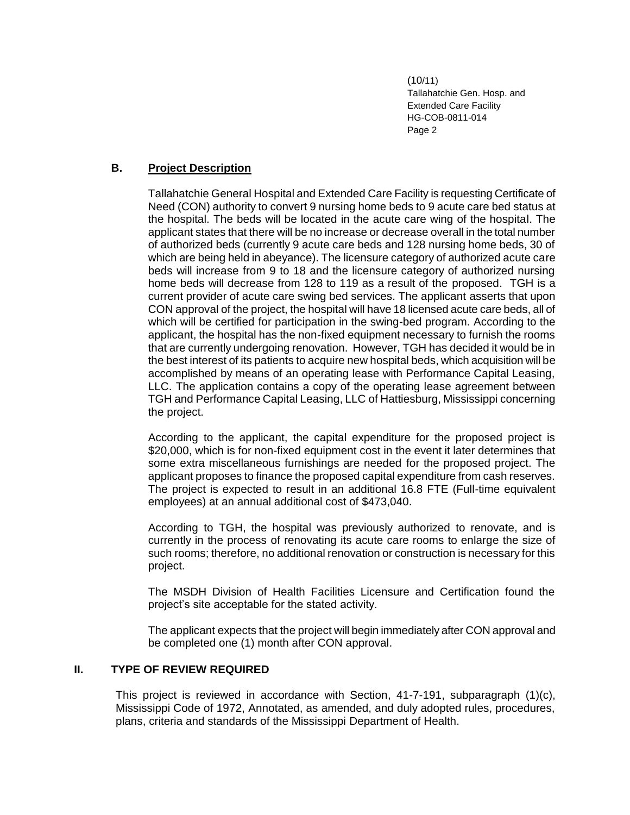# **B. Project Description**

Tallahatchie General Hospital and Extended Care Facility is requesting Certificate of Need (CON) authority to convert 9 nursing home beds to 9 acute care bed status at the hospital. The beds will be located in the acute care wing of the hospital. The applicant states that there will be no increase or decrease overall in the total number of authorized beds (currently 9 acute care beds and 128 nursing home beds, 30 of which are being held in abeyance). The licensure category of authorized acute care beds will increase from 9 to 18 and the licensure category of authorized nursing home beds will decrease from 128 to 119 as a result of the proposed. TGH is a current provider of acute care swing bed services. The applicant asserts that upon CON approval of the project, the hospital will have 18 licensed acute care beds, all of which will be certified for participation in the swing-bed program. According to the applicant, the hospital has the non-fixed equipment necessary to furnish the rooms that are currently undergoing renovation. However, TGH has decided it would be in the best interest of its patients to acquire new hospital beds, which acquisition will be accomplished by means of an operating lease with Performance Capital Leasing, LLC. The application contains a copy of the operating lease agreement between TGH and Performance Capital Leasing, LLC of Hattiesburg, Mississippi concerning the project.

According to the applicant, the capital expenditure for the proposed project is \$20,000, which is for non-fixed equipment cost in the event it later determines that some extra miscellaneous furnishings are needed for the proposed project. The applicant proposes to finance the proposed capital expenditure from cash reserves. The project is expected to result in an additional 16.8 FTE (Full-time equivalent employees) at an annual additional cost of \$473,040.

According to TGH, the hospital was previously authorized to renovate, and is currently in the process of renovating its acute care rooms to enlarge the size of such rooms; therefore, no additional renovation or construction is necessary for this project.

The MSDH Division of Health Facilities Licensure and Certification found the project's site acceptable for the stated activity.

The applicant expects that the project will begin immediately after CON approval and be completed one (1) month after CON approval.

### **II. TYPE OF REVIEW REQUIRED**

This project is reviewed in accordance with Section, 41-7-191, subparagraph (1)(c), Mississippi Code of 1972, Annotated, as amended, and duly adopted rules, procedures, plans, criteria and standards of the Mississippi Department of Health.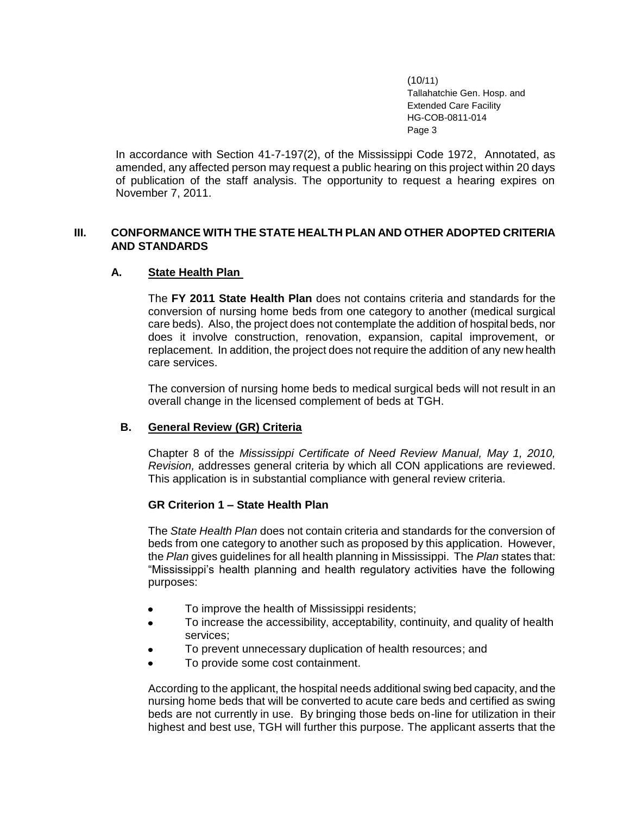In accordance with Section 41-7-197(2), of the Mississippi Code 1972, Annotated, as amended, any affected person may request a public hearing on this project within 20 days of publication of the staff analysis. The opportunity to request a hearing expires on November 7, 2011.

# **III. CONFORMANCE WITH THE STATE HEALTH PLAN AND OTHER ADOPTED CRITERIA AND STANDARDS**

# **A. State Health Plan**

The **FY 2011 State Health Plan** does not contains criteria and standards for the conversion of nursing home beds from one category to another (medical surgical care beds). Also, the project does not contemplate the addition of hospital beds, nor does it involve construction, renovation, expansion, capital improvement, or replacement. In addition, the project does not require the addition of any new health care services.

The conversion of nursing home beds to medical surgical beds will not result in an overall change in the licensed complement of beds at TGH.

# **B. General Review (GR) Criteria**

Chapter 8 of the *Mississippi Certificate of Need Review Manual, May 1, 2010, Revision,* addresses general criteria by which all CON applications are reviewed. This application is in substantial compliance with general review criteria.

# **GR Criterion 1 – State Health Plan**

The *State Health Plan* does not contain criteria and standards for the conversion of beds from one category to another such as proposed by this application. However, the *Plan* gives guidelines for all health planning in Mississippi. The *Plan* states that: "Mississippi's health planning and health regulatory activities have the following purposes:

- To improve the health of Mississippi residents;
- To increase the accessibility, acceptability, continuity, and quality of health services;
- To prevent unnecessary duplication of health resources; and
- To provide some cost containment.

According to the applicant, the hospital needs additional swing bed capacity, and the nursing home beds that will be converted to acute care beds and certified as swing beds are not currently in use. By bringing those beds on-line for utilization in their highest and best use, TGH will further this purpose. The applicant asserts that the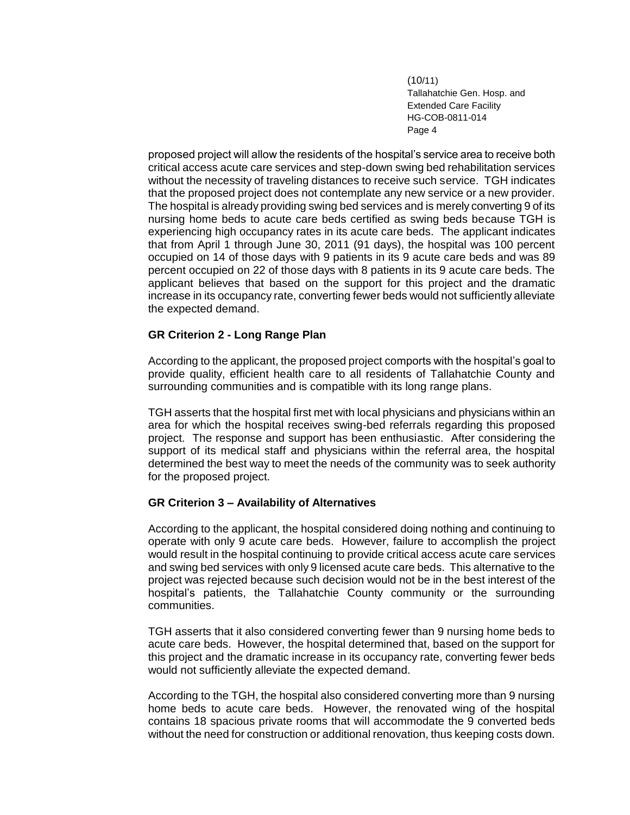proposed project will allow the residents of the hospital's service area to receive both critical access acute care services and step-down swing bed rehabilitation services without the necessity of traveling distances to receive such service. TGH indicates that the proposed project does not contemplate any new service or a new provider. The hospital is already providing swing bed services and is merely converting 9 of its nursing home beds to acute care beds certified as swing beds because TGH is experiencing high occupancy rates in its acute care beds. The applicant indicates that from April 1 through June 30, 2011 (91 days), the hospital was 100 percent occupied on 14 of those days with 9 patients in its 9 acute care beds and was 89 percent occupied on 22 of those days with 8 patients in its 9 acute care beds. The applicant believes that based on the support for this project and the dramatic increase in its occupancy rate, converting fewer beds would not sufficiently alleviate the expected demand.

# **GR Criterion 2 - Long Range Plan**

According to the applicant, the proposed project comports with the hospital's goal to provide quality, efficient health care to all residents of Tallahatchie County and surrounding communities and is compatible with its long range plans.

TGH asserts that the hospital first met with local physicians and physicians within an area for which the hospital receives swing-bed referrals regarding this proposed project. The response and support has been enthusiastic. After considering the support of its medical staff and physicians within the referral area, the hospital determined the best way to meet the needs of the community was to seek authority for the proposed project.

### **GR Criterion 3 – Availability of Alternatives**

According to the applicant, the hospital considered doing nothing and continuing to operate with only 9 acute care beds. However, failure to accomplish the project would result in the hospital continuing to provide critical access acute care services and swing bed services with only 9 licensed acute care beds. This alternative to the project was rejected because such decision would not be in the best interest of the hospital's patients, the Tallahatchie County community or the surrounding communities.

TGH asserts that it also considered converting fewer than 9 nursing home beds to acute care beds. However, the hospital determined that, based on the support for this project and the dramatic increase in its occupancy rate, converting fewer beds would not sufficiently alleviate the expected demand.

According to the TGH, the hospital also considered converting more than 9 nursing home beds to acute care beds. However, the renovated wing of the hospital contains 18 spacious private rooms that will accommodate the 9 converted beds without the need for construction or additional renovation, thus keeping costs down.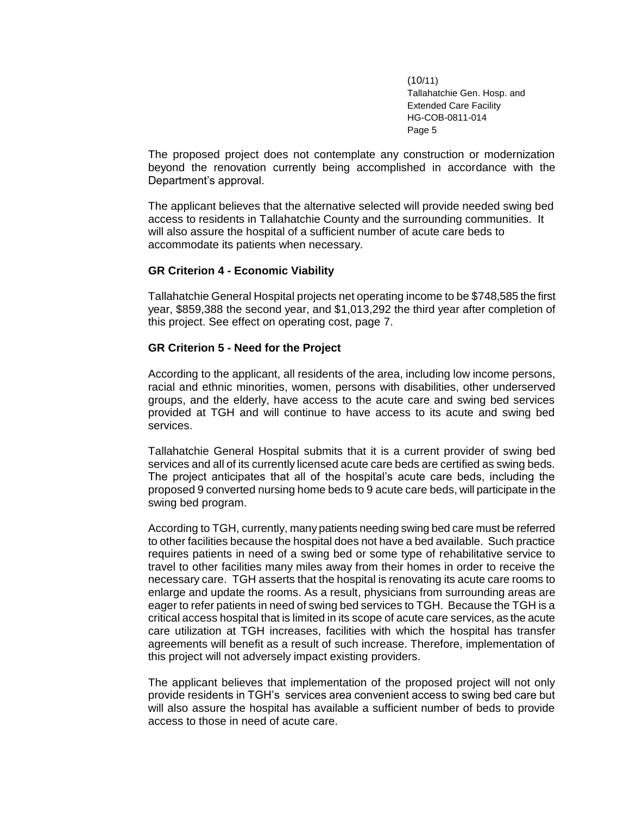The proposed project does not contemplate any construction or modernization beyond the renovation currently being accomplished in accordance with the Department's approval.

The applicant believes that the alternative selected will provide needed swing bed access to residents in Tallahatchie County and the surrounding communities. It will also assure the hospital of a sufficient number of acute care beds to accommodate its patients when necessary.

#### **GR Criterion 4 - Economic Viability**

Tallahatchie General Hospital projects net operating income to be \$748,585 the first year, \$859,388 the second year, and \$1,013,292 the third year after completion of this project. See effect on operating cost, page 7.

### **GR Criterion 5 - Need for the Project**

According to the applicant, all residents of the area, including low income persons, racial and ethnic minorities, women, persons with disabilities, other underserved groups, and the elderly, have access to the acute care and swing bed services provided at TGH and will continue to have access to its acute and swing bed services.

Tallahatchie General Hospital submits that it is a current provider of swing bed services and all of its currently licensed acute care beds are certified as swing beds. The project anticipates that all of the hospital's acute care beds, including the proposed 9 converted nursing home beds to 9 acute care beds, will participate in the swing bed program.

According to TGH, currently, many patients needing swing bed care must be referred to other facilities because the hospital does not have a bed available. Such practice requires patients in need of a swing bed or some type of rehabilitative service to travel to other facilities many miles away from their homes in order to receive the necessary care. TGH asserts that the hospital is renovating its acute care rooms to enlarge and update the rooms. As a result, physicians from surrounding areas are eager to refer patients in need of swing bed services to TGH. Because the TGH is a critical access hospital that is limited in its scope of acute care services, as the acute care utilization at TGH increases, facilities with which the hospital has transfer agreements will benefit as a result of such increase. Therefore, implementation of this project will not adversely impact existing providers.

The applicant believes that implementation of the proposed project will not only provide residents in TGH's services area convenient access to swing bed care but will also assure the hospital has available a sufficient number of beds to provide access to those in need of acute care.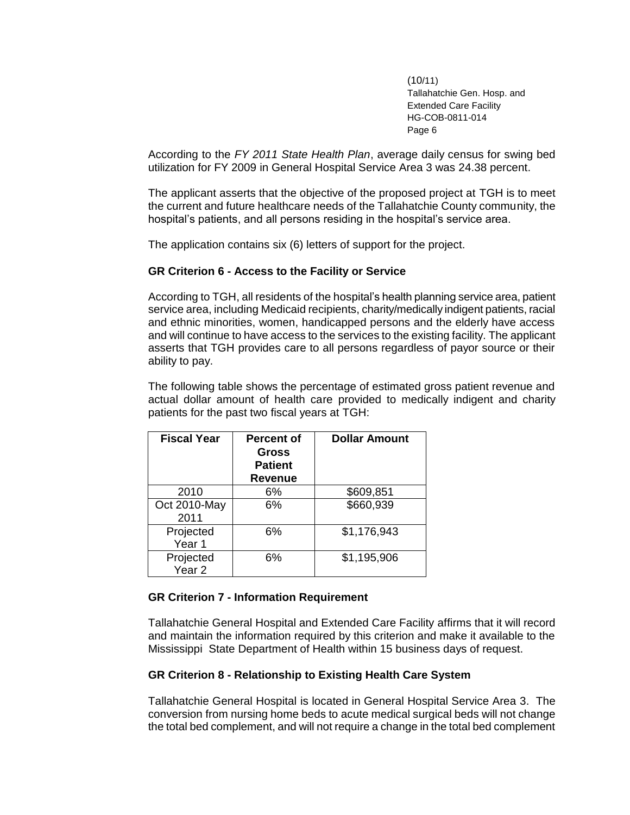According to the *FY 2011 State Health Plan*, average daily census for swing bed utilization for FY 2009 in General Hospital Service Area 3 was 24.38 percent.

The applicant asserts that the objective of the proposed project at TGH is to meet the current and future healthcare needs of the Tallahatchie County community, the hospital's patients, and all persons residing in the hospital's service area.

The application contains six (6) letters of support for the project.

# **GR Criterion 6 - Access to the Facility or Service**

According to TGH, all residents of the hospital's health planning service area, patient service area, including Medicaid recipients, charity/medically indigent patients, racial and ethnic minorities, women, handicapped persons and the elderly have access and will continue to have access to the services to the existing facility. The applicant asserts that TGH provides care to all persons regardless of payor source or their ability to pay.

The following table shows the percentage of estimated gross patient revenue and actual dollar amount of health care provided to medically indigent and charity patients for the past two fiscal years at TGH:

| <b>Fiscal Year</b>             | <b>Percent of</b><br><b>Gross</b><br><b>Patient</b><br><b>Revenue</b> | <b>Dollar Amount</b> |
|--------------------------------|-----------------------------------------------------------------------|----------------------|
| 2010                           | 6%                                                                    | \$609,851            |
| Oct 2010-May<br>2011           | 6%                                                                    | \$660,939            |
| Projected<br>Year 1            | 6%                                                                    | \$1,176,943          |
| Projected<br>Year <sub>2</sub> | 6%                                                                    | \$1,195,906          |

### **GR Criterion 7 - Information Requirement**

Tallahatchie General Hospital and Extended Care Facility affirms that it will record and maintain the information required by this criterion and make it available to the Mississippi State Department of Health within 15 business days of request.

### **GR Criterion 8 - Relationship to Existing Health Care System**

Tallahatchie General Hospital is located in General Hospital Service Area 3. The conversion from nursing home beds to acute medical surgical beds will not change the total bed complement, and will not require a change in the total bed complement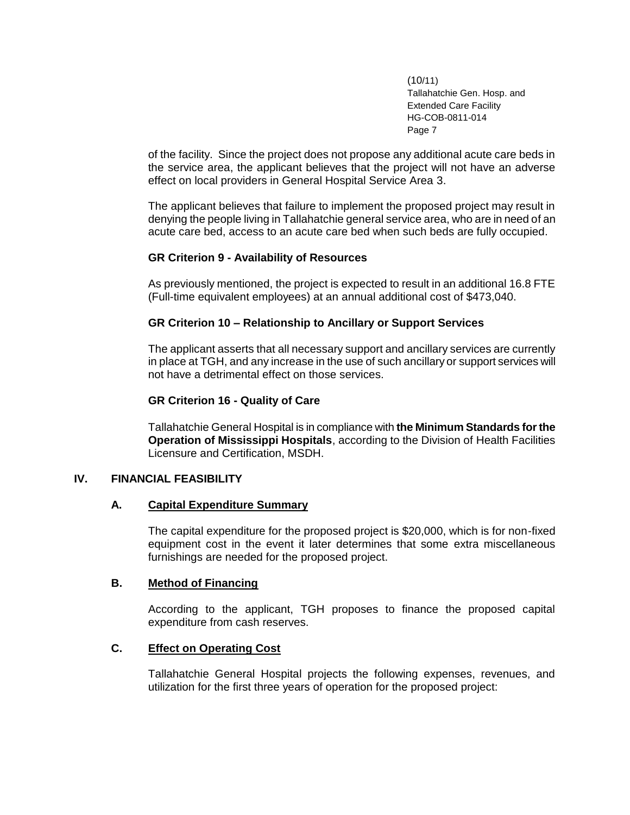of the facility. Since the project does not propose any additional acute care beds in the service area, the applicant believes that the project will not have an adverse effect on local providers in General Hospital Service Area 3.

The applicant believes that failure to implement the proposed project may result in denying the people living in Tallahatchie general service area, who are in need of an acute care bed, access to an acute care bed when such beds are fully occupied.

# **GR Criterion 9 - Availability of Resources**

As previously mentioned, the project is expected to result in an additional 16.8 FTE (Full-time equivalent employees) at an annual additional cost of \$473,040.

# **GR Criterion 10 – Relationship to Ancillary or Support Services**

The applicant asserts that all necessary support and ancillary services are currently in place at TGH, and any increase in the use of such ancillary or support services will not have a detrimental effect on those services.

### **GR Criterion 16 - Quality of Care**

Tallahatchie General Hospital is in compliance with **the Minimum Standards for the Operation of Mississippi Hospitals**, according to the Division of Health Facilities Licensure and Certification, MSDH.

### **IV. FINANCIAL FEASIBILITY**

### **A. Capital Expenditure Summary**

The capital expenditure for the proposed project is \$20,000, which is for non-fixed equipment cost in the event it later determines that some extra miscellaneous furnishings are needed for the proposed project.

# **B. Method of Financing**

According to the applicant, TGH proposes to finance the proposed capital expenditure from cash reserves.

### **C. Effect on Operating Cost**

Tallahatchie General Hospital projects the following expenses, revenues, and utilization for the first three years of operation for the proposed project: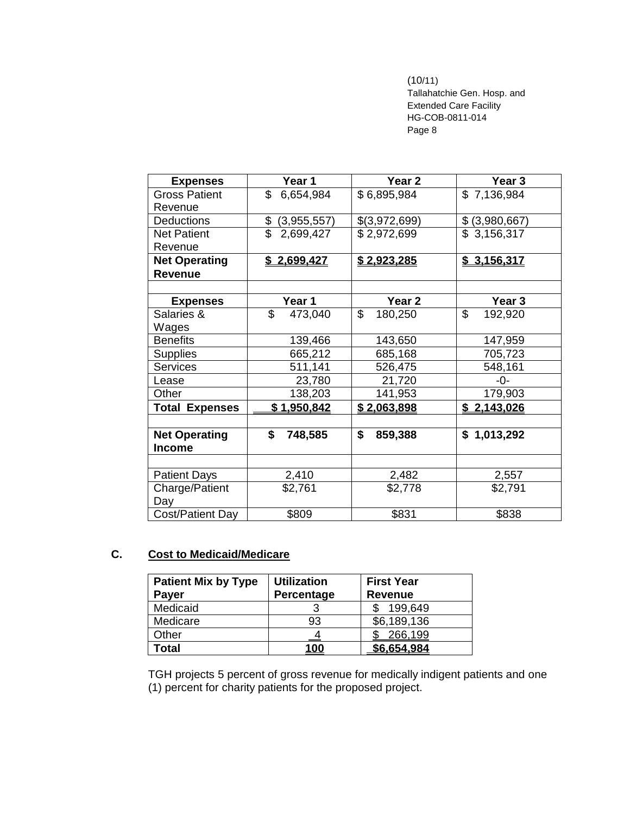# (10/11)

Tallahatchie Gen. Hosp. and Extended Care Facility HG-COB-0811-014 Page 8

| <b>Expenses</b>       | Year 1             | Year <sub>2</sub>  | Year <sub>3</sub> |
|-----------------------|--------------------|--------------------|-------------------|
| <b>Gross Patient</b>  | \$<br>6,654,984    | \$6,895,984        | \$7,136,984       |
| Revenue               |                    |                    |                   |
| <b>Deductions</b>     | \$<br>(3,955,557)  | \$(3,972,699)      | \$ (3,980,667)    |
| <b>Net Patient</b>    | \$<br>2,699,427    | \$2,972,699        | \$3,156,317       |
| Revenue               |                    |                    |                   |
| <b>Net Operating</b>  | <u>\$2,699,427</u> | <u>\$2,923,285</u> | \$3,156,317       |
| <b>Revenue</b>        |                    |                    |                   |
|                       |                    |                    |                   |
| <b>Expenses</b>       | Year 1             | Year <sub>2</sub>  | Year 3            |
| Salaries &            | \$<br>473,040      | \$<br>180,250      | \$<br>192,920     |
| Wages                 |                    |                    |                   |
| <b>Benefits</b>       | 139,466            | 143,650            | 147,959           |
| <b>Supplies</b>       | 665,212            | 685,168            | 705,723           |
| Services              | 511,141            | 526,475            | 548,161           |
| Lease                 | 23,780             | 21,720             | -0-               |
| Other                 | 138,203            | 141,953            | 179,903           |
| <b>Total Expenses</b> | \$1,950,842        | \$2,063,898        | \$2,143,026       |
|                       |                    |                    |                   |
| <b>Net Operating</b>  | \$<br>748,585      | \$<br>859,388      | \$1,013,292       |
| <b>Income</b>         |                    |                    |                   |
|                       |                    |                    |                   |
| <b>Patient Days</b>   | 2,410              | 2,482              | 2,557             |
| Charge/Patient        | \$2,761            | \$2,778            | \$2,791           |
| Day                   |                    |                    |                   |
| Cost/Patient Day      | \$809              | \$831              | \$838             |

# **C. Cost to Medicaid/Medicare**

| <b>Patient Mix by Type</b><br><b>Payer</b> | <b>Utilization</b><br>Percentage | <b>First Year</b><br><b>Revenue</b> |
|--------------------------------------------|----------------------------------|-------------------------------------|
| Medicaid                                   |                                  | 199,649                             |
| Medicare                                   | 93                               | \$6,189,136                         |
| Other                                      |                                  | 266,199                             |
| Total                                      | <u>100</u>                       | \$6,654,984                         |

TGH projects 5 percent of gross revenue for medically indigent patients and one (1) percent for charity patients for the proposed project.